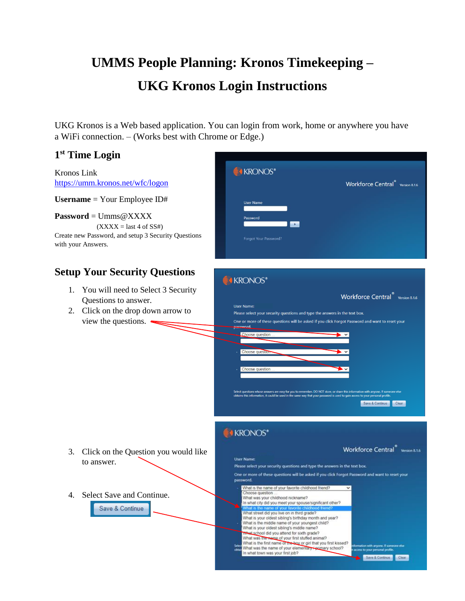## **UMMS People Planning: Kronos Timekeeping – UKG Kronos Login Instructions**

UKG Kronos is a Web based application. You can login from work, home or anywhere you have a WiFi connection. – (Works best with Chrome or Edge.)

## **1 st Time Login** KRONOS\* Kronos Link <https://umm.kronos.net/wfc/logon> Workforce Central<sup>®</sup> Version 8.1.6 **Username** = Your Employee ID# **Password** = Umms@XXXX  $(XXXX = last 4 of SS#)$ Create new Password, and setup 3 Security Questions orgot Your Passw with your Answers. **Setup Your Security Questions KRONOS**\* 1. You will need to Select 3 Security Workforce Central<sup>®</sup> Version 8.1.6 Questions to answer. **User Name:** 2. Click on the drop down arrow to Please select your security questions and type the answers in the text box. view the questions. One or more of these questions will be asked if you click Forgot Password and want to reset your Choose question Choose que e questior vers are easy for you to re<br>ould be used in the same Save & Continue **E** KRONOS\* Workforce Central<sup>®</sup> Version 8.1.6 3. Click on the Question you would like **User Name:** to answer. Please select your security questions and type the answers in the text box. One or more of these questions will be asked if you click Forgot Password and want to reset your password. What is the name of your favorite childhood friend? 4. Select Save and Continue.Choose question What was your childhood nickname?<br>In what city did you meet your spouse/significant other? Save & Continue What street did you live on in third grade? What is your oldest sibling's birthday month and year?<br>What is the middle name of your youngest child? What is your oldest sibling's middle name? What school did you attend for sixth grade? What was the means of your first stuffed animal?<br>What is the first name of the boy or girl that you first kissed?

ä

mation with anyone. If some<br>xess to your personal profile

Save & Continue

What was the name of your elementary + primary school?<br>In what town was your first job?